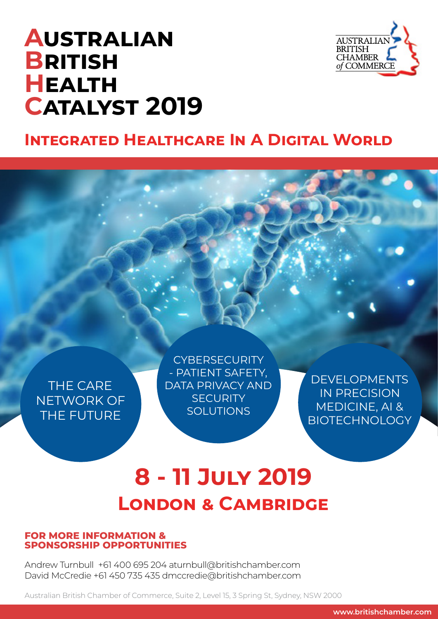# **Australian British Health Catalyst 2019**



## **INTEGRATED HEALTHCARE IN A DIGITAL WORLD**

THE CARE NETWORK OF THE FUTURE

**CYBERSECURITY** - PATIENT SAFETY, DATA PRIVACY AND **SECURITY SOLUTIONS** 

DEVELOPMENTS IN PRECISION MEDICINE, AI & **BIOTECHNOLOGY** 

# **8 - 11 July 2019 London & Cambridge**

### **FOR MORE INFORMATION & SPONSORSHIP OPPORTUNITIES**

Andrew Turnbull +61 400 695 204 aturnbull@britishchamber.com David McCredie +61 450 735 435 dmccredie@britishchamber.com

Australian British Chamber of Commerce, Suite 2, Level 15, 3 Spring St, Sydney, NSW 2000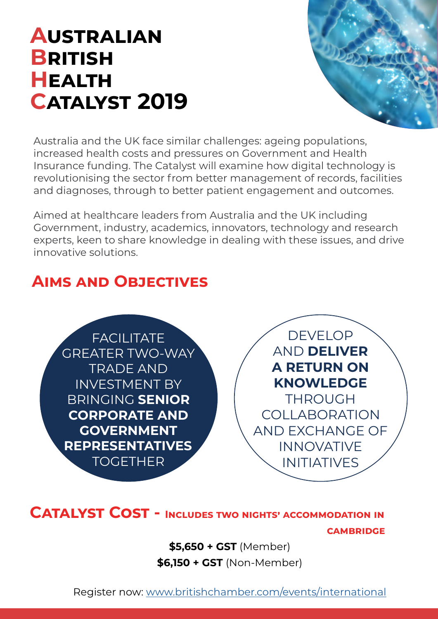# **Australian British Health Catalyst 2019**



Australia and the UK face similar challenges: ageing populations, increased health costs and pressures on Government and Health Insurance funding. The Catalyst will examine how digital technology is revolutionising the sector from better management of records, facilities and diagnoses, through to better patient engagement and outcomes.

Aimed at healthcare leaders from Australia and the UK including Government, industry, academics, innovators, technology and research experts, keen to share knowledge in dealing with these issues, and drive innovative solutions.

## **Aims and Objectives**

**FACILITATE** GREATER TWO-WAY TRADE AND INVESTMENT BY BRINGING **SENIOR CORPORATE AND GOVERNMENT REPRESENTATIVES**  TOGETHER

DEVELOP AND **DELIVER A RETURN ON KNOWLEDGE**  THROUGH COLLABORATION AND EXCHANGE OF INNOVATIVE INITIATIVES

## **CATALYST COST - INCLUDES TWO NIGHTS' ACCOMMODATION IN cambridge**

**\$5,650 + GST** (Member) **\$6,150 + GST** (Non-Member)

Register now: [www.britishchamber.com/events/international](https://www.britishchamber.com/events/international)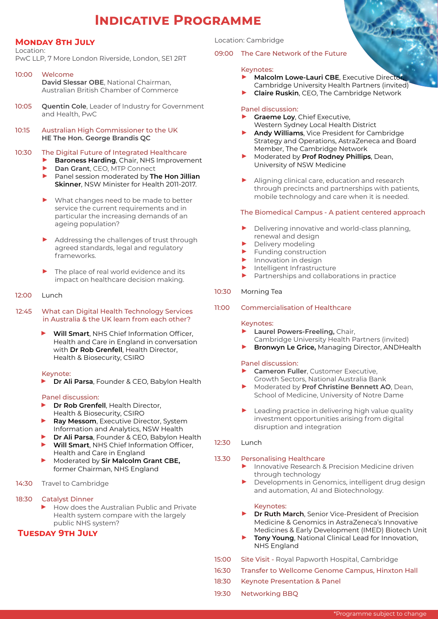## **Indicative Programme**

#### **Monday 8th July**

Location:

PwC LLP, 7 More London Riverside, London, SE1 2RT

- 10:00 Welcome
	- **David Slessar OBE**, National Chairman, Australian British Chamber of Commerce
- 10:05 **Quentin Cole**, Leader of Industry for Government and Health, PwC
- 10:15 Australian High Commissioner to the UK **HE The Hon. George Brandis QC**

#### 10:30 The Digital Future of Integrated Healthcare

- ▶ **Baroness Harding**, Chair, NHS Improvement
- ▶ **Dan Grant**, CEO, MTP Connect
	- ▶ Panel session moderated by **The Hon Jillian Skinner**, NSW Minister for Health 2011-2017.
	- What changes need to be made to better service the current requirements and in particular the increasing demands of an ageing population?
	- ▶ Addressing the challenges of trust through agreed standards, legal and regulatory frameworks.
	- The place of real world evidence and its impact on healthcare decision making.
- 12:00 Lunch
- 12:45 What can Digital Health Technology Services in Australia & the UK learn from each other?
	- **Will Smart**, NHS Chief Information Officer, Health and Care in England in conversation with **Dr Rob Grenfell**, Health Director, Health & Biosecurity, CSIRO

#### Keynote:

▶ **Dr Ali Parsa**, Founder & CEO, Babylon Health

#### Panel discussion:

- ▶ **Dr Rob Grenfell**, Health Director, Health & Biosecurity, CSIRO
- Ray Messom, Executive Director, System Information and Analytics, NSW Health
- ▶ **Dr Ali Parsa**, Founder & CEO, Babylon Health
- ▶ **Will Smart**, NHS Chief Information Officer, Health and Care in England
- ▶ Moderated by **Sir Malcolm Grant CBE,** former Chairman, NHS England
- 14:30 Travel to Cambridge

#### 18:30 Catalyst Dinner

How does the Australian Public and Private Health system compare with the largely public NHS system?

### **Tuesday 9th July**

Location: Cambridge

#### 09:00 The Care Network of the Future

#### Keynotes:

▶ **Malcolm Lowe-Lauri CBE**, Executive Director Cambridge University Health Partners (invited) ▶ **Claire Ruskin**, CEO, The Cambridge Network

#### Panel discussion:

- **Graeme Loy, Chief Executive,** Western Sydney Local Health District
- ▶ **Andy Williams**, Vice President for Cambridge Strategy and Operations, AstraZeneca and Board Member, The Cambridge Network
- ▶ Moderated by **Prof Rodney Phillips**, Dean, University of NSW Medicine
- Aligning clinical care, education and research through precincts and partnerships with patients, mobile technology and care when it is needed.

#### The Biomedical Campus - A patient centered approach

- Delivering innovative and world-class planning, renewal and design
- ▶ Delivery modeling<br>▶ Funding construct
- $\blacktriangleright$  Funding construction
- Innovation in design
- ▶ Intelligent Infrastructure<br>▶ Partnershins and collabo
- Partnerships and collaborations in practice

#### 10:30 Morning Tea

11:00 Commercialisation of Healthcare

#### Keynotes:

- ▶ **Laurel Powers-Freeling,** Chair, Cambridge University Health Partners (invited)
- **Bronwyn Le Grice, Managing Director, ANDHealth**

#### Panel discussion:

- **Cameron Fuller, Customer Executive,** Growth Sectors, National Australia Bank
- ▶ Moderated by **Prof Christine Bennett AO**, Dean, School of Medicine, University of Notre Dame
- Leading practice in delivering high value quality investment opportunities arising from digital disruption and integration

#### 12:30 Lunch

#### 13.30 Personalising Healthcare

- Innovative Research & Precision Medicine driven through technology
- Developments in Genomics, intelligent drug design and automation, AI and Biotechnology.

#### Keynotes:

- **Dr Ruth March**, Senior Vice-President of Precision Medicine & Genomics in AstraZeneca's Innovative Medicines & Early Development (IMED) Biotech Unit
- ▶ **Tony Young**, National Clinical Lead for Innovation, NHS England
- 15:00 Site Visit Royal Papworth Hospital, Cambridge
- 16:30 Transfer to Wellcome Genome Campus, Hinxton Hall
- 18:30 Keynote Presentation & Panel
- 19:30 Networking BBQ